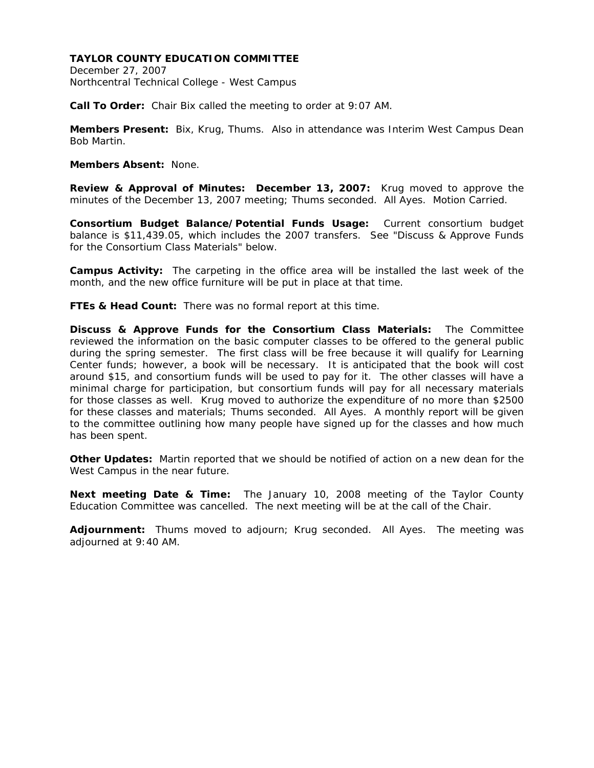December 27, 2007 Northcentral Technical College - West Campus

**Call To Order:** Chair Bix called the meeting to order at 9:07 AM.

**Members Present:** Bix, Krug, Thums. Also in attendance was Interim West Campus Dean Bob Martin.

## **Members Absent:** None.

**Review & Approval of Minutes: December 13, 2007:** Krug moved to approve the minutes of the December 13, 2007 meeting; Thums seconded. All Ayes. Motion Carried.

**Consortium Budget Balance/Potential Funds Usage:** Current consortium budget balance is \$11,439.05, which includes the 2007 transfers. See "Discuss & Approve Funds for the Consortium Class Materials" below.

**Campus Activity:** The carpeting in the office area will be installed the last week of the month, and the new office furniture will be put in place at that time.

**FTEs & Head Count:** There was no formal report at this time.

**Discuss & Approve Funds for the Consortium Class Materials:** The Committee reviewed the information on the basic computer classes to be offered to the general public during the spring semester. The first class will be free because it will qualify for Learning Center funds; however, a book will be necessary. It is anticipated that the book will cost around \$15, and consortium funds will be used to pay for it. The other classes will have a minimal charge for participation, but consortium funds will pay for all necessary materials for those classes as well. Krug moved to authorize the expenditure of no more than \$2500 for these classes and materials; Thums seconded. All Ayes. A monthly report will be given to the committee outlining how many people have signed up for the classes and how much has been spent.

**Other Updates:** Martin reported that we should be notified of action on a new dean for the West Campus in the near future.

**Next meeting Date & Time:** The January 10, 2008 meeting of the Taylor County Education Committee was cancelled. The next meeting will be at the call of the Chair.

**Adjournment:** Thums moved to adjourn; Krug seconded. All Ayes. The meeting was adjourned at 9:40 AM.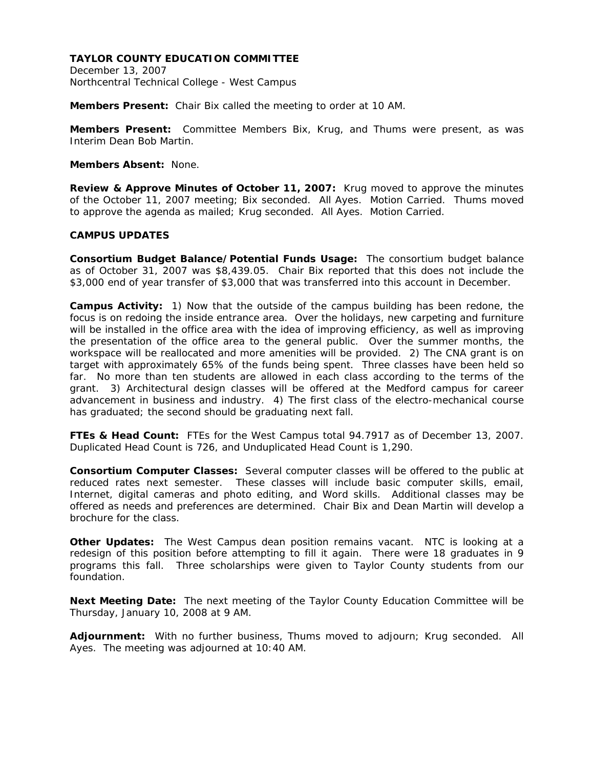December 13, 2007 Northcentral Technical College - West Campus

**Members Present:** Chair Bix called the meeting to order at 10 AM.

**Members Present:** Committee Members Bix, Krug, and Thums were present, as was Interim Dean Bob Martin.

## **Members Absent:** None.

**Review & Approve Minutes of October 11, 2007:** Krug moved to approve the minutes of the October 11, 2007 meeting; Bix seconded. All Ayes. Motion Carried. Thums moved to approve the agenda as mailed; Krug seconded. All Ayes. Motion Carried.

# **CAMPUS UPDATES**

**Consortium Budget Balance/Potential Funds Usage:** The consortium budget balance as of October 31, 2007 was \$8,439.05. Chair Bix reported that this does not include the \$3,000 end of year transfer of \$3,000 that was transferred into this account in December.

**Campus Activity:** 1) Now that the outside of the campus building has been redone, the focus is on redoing the inside entrance area. Over the holidays, new carpeting and furniture will be installed in the office area with the idea of improving efficiency, as well as improving the presentation of the office area to the general public. Over the summer months, the workspace will be reallocated and more amenities will be provided. 2) The CNA grant is on target with approximately 65% of the funds being spent. Three classes have been held so far. No more than ten students are allowed in each class according to the terms of the grant. 3) Architectural design classes will be offered at the Medford campus for career advancement in business and industry. 4) The first class of the electro-mechanical course has graduated; the second should be graduating next fall.

**FTEs & Head Count:** FTEs for the West Campus total 94.7917 as of December 13, 2007. Duplicated Head Count is 726, and Unduplicated Head Count is 1,290.

**Consortium Computer Classes:** Several computer classes will be offered to the public at reduced rates next semester. These classes will include basic computer skills, email, Internet, digital cameras and photo editing, and Word skills. Additional classes may be offered as needs and preferences are determined. Chair Bix and Dean Martin will develop a brochure for the class.

**Other Updates:** The West Campus dean position remains vacant. NTC is looking at a redesign of this position before attempting to fill it again. There were 18 graduates in 9 programs this fall. Three scholarships were given to Taylor County students from our foundation.

**Next Meeting Date:** The next meeting of the Taylor County Education Committee will be Thursday, January 10, 2008 at 9 AM.

**Adjournment:** With no further business, Thums moved to adjourn; Krug seconded. All Ayes. The meeting was adjourned at 10:40 AM.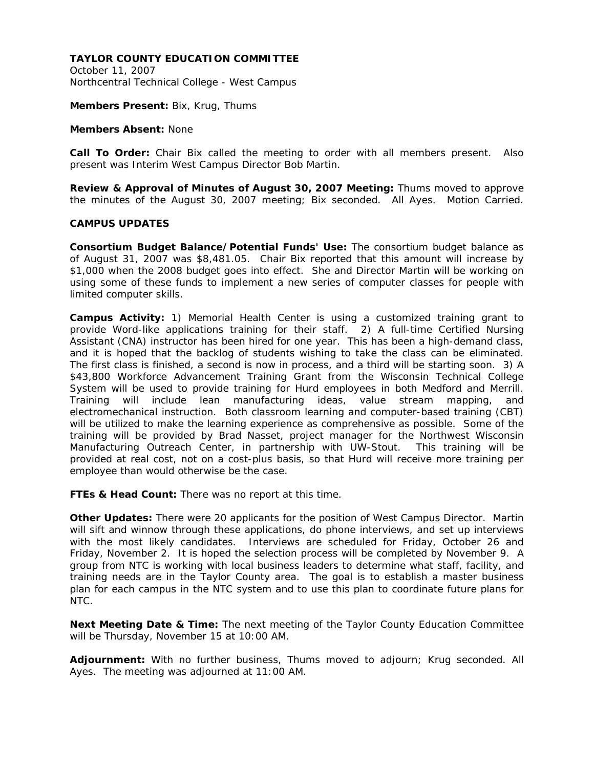October 11, 2007 Northcentral Technical College - West Campus

**Members Present:** Bix, Krug, Thums

#### **Members Absent:** None

**Call To Order:** Chair Bix called the meeting to order with all members present. Also present was Interim West Campus Director Bob Martin.

**Review & Approval of Minutes of August 30, 2007 Meeting:** Thums moved to approve the minutes of the August 30, 2007 meeting; Bix seconded. All Ayes. Motion Carried.

## **CAMPUS UPDATES**

**Consortium Budget Balance/Potential Funds' Use:** The consortium budget balance as of August 31, 2007 was \$8,481.05. Chair Bix reported that this amount will increase by \$1,000 when the 2008 budget goes into effect. She and Director Martin will be working on using some of these funds to implement a new series of computer classes for people with limited computer skills.

**Campus Activity:** 1) Memorial Health Center is using a customized training grant to provide Word-like applications training for their staff. 2) A full-time Certified Nursing Assistant (CNA) instructor has been hired for one year. This has been a high-demand class, and it is hoped that the backlog of students wishing to take the class can be eliminated. The first class is finished, a second is now in process, and a third will be starting soon. 3) A \$43,800 Workforce Advancement Training Grant from the Wisconsin Technical College System will be used to provide training for Hurd employees in both Medford and Merrill. Training will include lean manufacturing ideas, value stream mapping, and electromechanical instruction. Both classroom learning and computer-based training (CBT) will be utilized to make the learning experience as comprehensive as possible. Some of the training will be provided by Brad Nasset, project manager for the Northwest Wisconsin Manufacturing Outreach Center, in partnership with UW-Stout. This training will be provided at real cost, not on a cost-plus basis, so that Hurd will receive more training per employee than would otherwise be the case.

**FTEs & Head Count:** There was no report at this time.

**Other Updates:** There were 20 applicants for the position of West Campus Director. Martin will sift and winnow through these applications, do phone interviews, and set up interviews with the most likely candidates. Interviews are scheduled for Friday, October 26 and Friday, November 2. It is hoped the selection process will be completed by November 9. A group from NTC is working with local business leaders to determine what staff, facility, and training needs are in the Taylor County area. The goal is to establish a master business plan for each campus in the NTC system and to use this plan to coordinate future plans for NTC.

**Next Meeting Date & Time:** The next meeting of the Taylor County Education Committee will be Thursday, November 15 at 10:00 AM.

**Adjournment:** With no further business, Thums moved to adjourn; Krug seconded. All Ayes. The meeting was adjourned at 11:00 AM.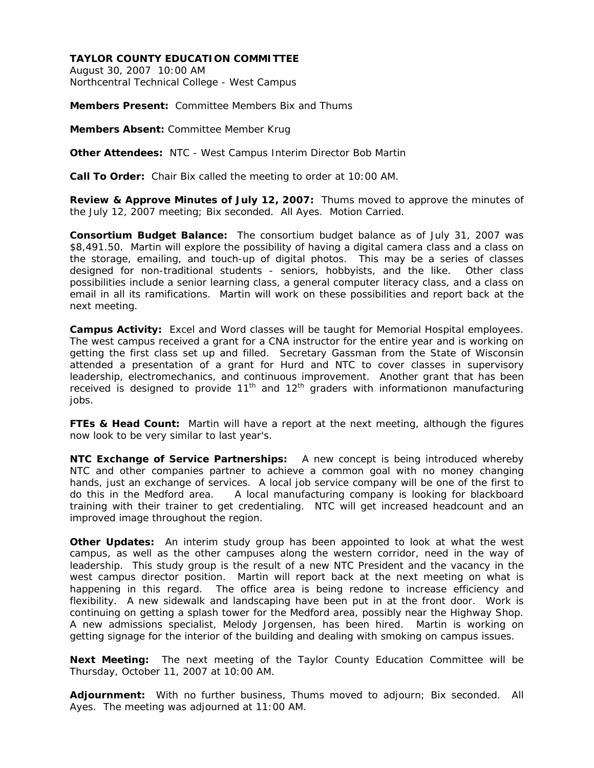August 30, 2007 10:00 AM Northcentral Technical College - West Campus

**Members Present:** Committee Members Bix and Thums

**Members Absent:** Committee Member Krug

**Other Attendees:** NTC - West Campus Interim Director Bob Martin

**Call To Order:** Chair Bix called the meeting to order at 10:00 AM.

**Review & Approve Minutes of July 12, 2007:** Thums moved to approve the minutes of the July 12, 2007 meeting; Bix seconded. All Ayes. Motion Carried.

**Consortium Budget Balance:** The consortium budget balance as of July 31, 2007 was \$8,491.50. Martin will explore the possibility of having a digital camera class and a class on the storage, emailing, and touch-up of digital photos. This may be a series of classes designed for non-traditional students - seniors, hobbyists, and the like. Other class possibilities include a senior learning class, a general computer literacy class, and a class on email in all its ramifications. Martin will work on these possibilities and report back at the next meeting.

**Campus Activity:** Excel and Word classes will be taught for Memorial Hospital employees. The west campus received a grant for a CNA instructor for the entire year and is working on getting the first class set up and filled. Secretary Gassman from the State of Wisconsin attended a presentation of a grant for Hurd and NTC to cover classes in supervisory leadership, electromechanics, and continuous improvement. Another grant that has been received is designed to provide  $11<sup>th</sup>$  and  $12<sup>th</sup>$  graders with informationon manufacturing jobs.

**FTEs & Head Count:** Martin will have a report at the next meeting, although the figures now look to be very similar to last year's.

**NTC Exchange of Service Partnerships:** A new concept is being introduced whereby NTC and other companies partner to achieve a common goal with no money changing hands, just an exchange of services. A local job service company will be one of the first to do this in the Medford area. A local manufacturing company is looking for blackboard training with their trainer to get credentialing. NTC will get increased headcount and an improved image throughout the region.

**Other Updates:** An interim study group has been appointed to look at what the west campus, as well as the other campuses along the western corridor, need in the way of leadership. This study group is the result of a new NTC President and the vacancy in the west campus director position. Martin will report back at the next meeting on what is happening in this regard. The office area is being redone to increase efficiency and flexibility. A new sidewalk and landscaping have been put in at the front door. Work is continuing on getting a splash tower for the Medford area, possibly near the Highway Shop. A new admissions specialist, Melody Jorgensen, has been hired. Martin is working on getting signage for the interior of the building and dealing with smoking on campus issues.

**Next Meeting:** The next meeting of the Taylor County Education Committee will be Thursday, October 11, 2007 at 10:00 AM.

**Adjournment:** With no further business, Thums moved to adjourn; Bix seconded. All Ayes. The meeting was adjourned at 11:00 AM.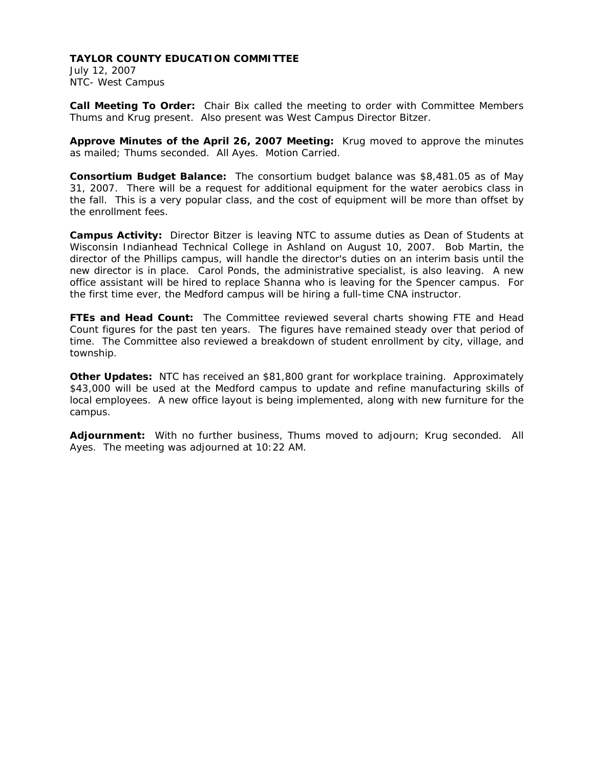July 12, 2007 NTC- West Campus

**Call Meeting To Order:** Chair Bix called the meeting to order with Committee Members Thums and Krug present. Also present was West Campus Director Bitzer.

**Approve Minutes of the April 26, 2007 Meeting:** Krug moved to approve the minutes as mailed; Thums seconded. All Ayes. Motion Carried.

**Consortium Budget Balance:** The consortium budget balance was \$8,481.05 as of May 31, 2007. There will be a request for additional equipment for the water aerobics class in the fall. This is a very popular class, and the cost of equipment will be more than offset by the enrollment fees.

**Campus Activity:** Director Bitzer is leaving NTC to assume duties as Dean of Students at Wisconsin Indianhead Technical College in Ashland on August 10, 2007. Bob Martin, the director of the Phillips campus, will handle the director's duties on an interim basis until the new director is in place. Carol Ponds, the administrative specialist, is also leaving. A new office assistant will be hired to replace Shanna who is leaving for the Spencer campus. For the first time ever, the Medford campus will be hiring a full-time CNA instructor.

**FTEs and Head Count:** The Committee reviewed several charts showing FTE and Head Count figures for the past ten years. The figures have remained steady over that period of time. The Committee also reviewed a breakdown of student enrollment by city, village, and township.

**Other Updates:** NTC has received an \$81,800 grant for workplace training. Approximately \$43,000 will be used at the Medford campus to update and refine manufacturing skills of local employees. A new office layout is being implemented, along with new furniture for the campus.

**Adjournment:** With no further business, Thums moved to adjourn; Krug seconded. All Ayes. The meeting was adjourned at 10:22 AM.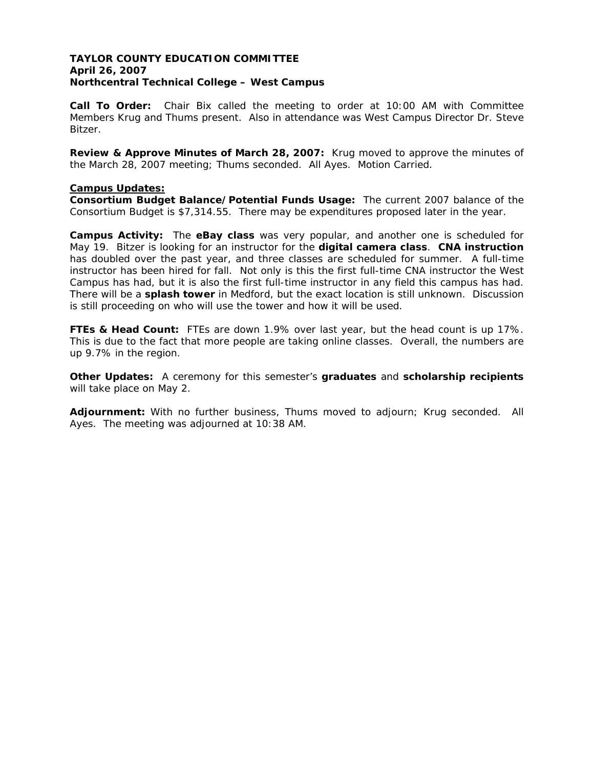# **TAYLOR COUNTY EDUCATION COMMITTEE April 26, 2007 Northcentral Technical College – West Campus**

**Call To Order:** Chair Bix called the meeting to order at 10:00 AM with Committee Members Krug and Thums present. Also in attendance was West Campus Director Dr. Steve Bitzer.

**Review & Approve Minutes of March 28, 2007:** Krug moved to approve the minutes of the March 28, 2007 meeting; Thums seconded. All Ayes. Motion Carried.

#### **Campus Updates:**

**Consortium Budget Balance/Potential Funds Usage:** The current 2007 balance of the Consortium Budget is \$7,314.55. There may be expenditures proposed later in the year.

**Campus Activity:** The **eBay class** was very popular, and another one is scheduled for May 19. Bitzer is looking for an instructor for the **digital camera class**. **CNA instruction** has doubled over the past year, and three classes are scheduled for summer. A full-time instructor has been hired for fall. Not only is this the first full-time CNA instructor the West Campus has had, but it is also the first full-time instructor in any field this campus has had. There will be a **splash tower** in Medford, but the exact location is still unknown. Discussion is still proceeding on who will use the tower and how it will be used.

**FTEs & Head Count:** FTEs are down 1.9% over last year, but the head count is up 17%. This is due to the fact that more people are taking online classes. Overall, the numbers are up 9.7% in the region.

**Other Updates:** A ceremony for this semester's **graduates** and **scholarship recipients** will take place on May 2.

**Adjournment:** With no further business, Thums moved to adjourn; Krug seconded. All Ayes. The meeting was adjourned at 10:38 AM.